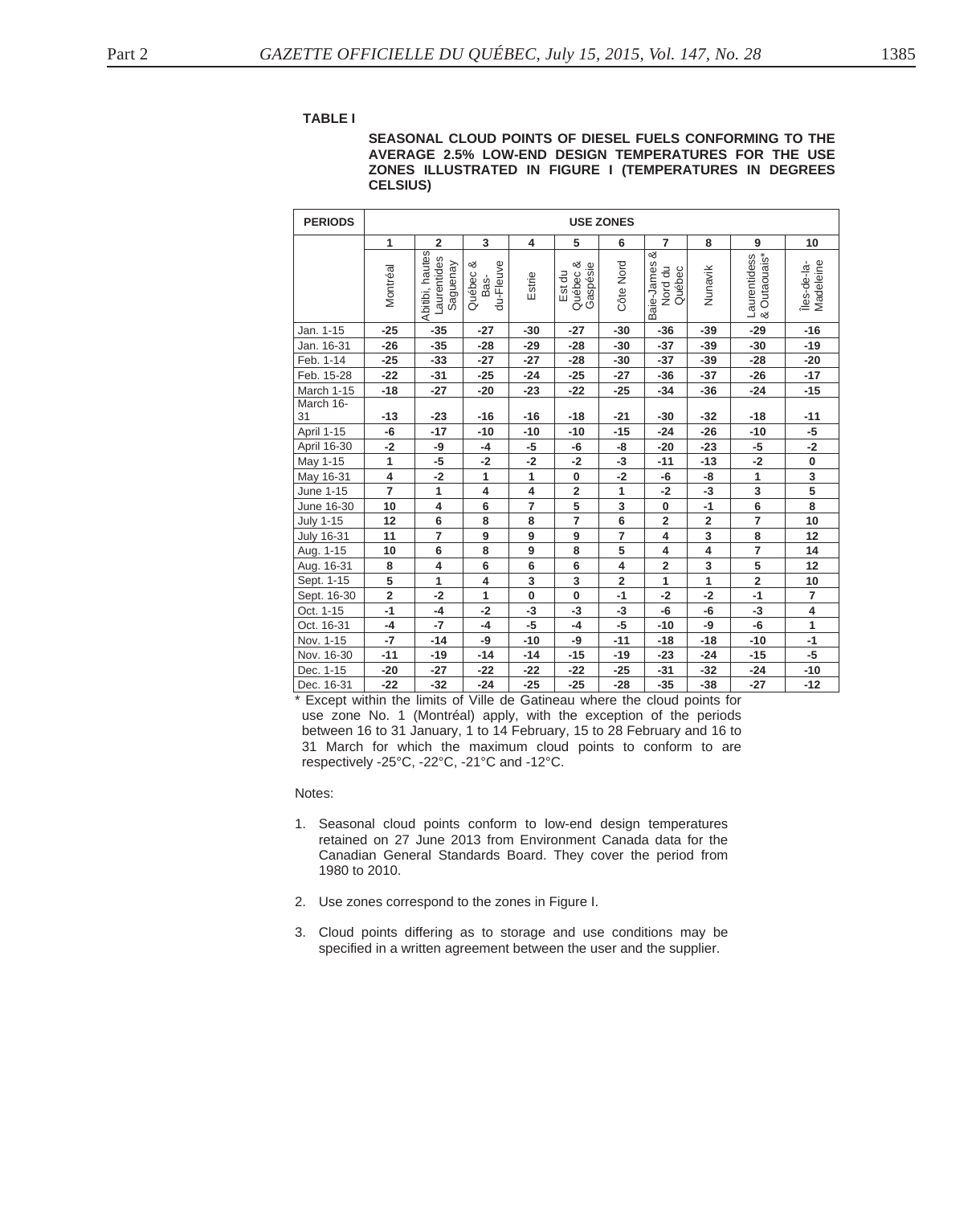## **TABLE I**

## **SEASONAL CLOUD POINTS OF DIESEL FUELS CONFORMING TO THE AVERAGE 2.5% LOW-END DESIGN TEMPERATURES FOR THE USE ZONES ILLUSTRATED IN FIGURE I (TEMPERATURES IN DEGREES CELSIUS)**

| <b>PERIODS</b>    | <b>USE ZONES</b>        |                                            |                                  |                         |                                |                         |                                      |                         |                              |                          |
|-------------------|-------------------------|--------------------------------------------|----------------------------------|-------------------------|--------------------------------|-------------------------|--------------------------------------|-------------------------|------------------------------|--------------------------|
|                   | 1                       | $\overline{\mathbf{2}}$                    | 3                                | $\overline{\mathbf{4}}$ | 5                              | 6                       | $\overline{7}$                       | 8                       | $\boldsymbol{9}$             | 10                       |
|                   | Montréal                | Abitibi, hautes<br>Laurentides<br>Saguenay | du-Fleuve<br>య<br>Québec<br>Bas- | Estrie                  | Québec &<br>Gaspésie<br>Est du | Côte Nord               | త<br>Baie-James<br>Nord du<br>Québec | Nunavik                 | Laurentidess<br>& Outaouais* | Madeleine<br>Îles-de-la- |
| Jan. 1-15         | $-25$                   | $-35$                                      | $-27$                            | $-30$                   | $-27$                          | $-30$                   | $-36$                                | $-39$                   | $-29$                        | $-16$                    |
| Jan. 16-31        | $-26$                   | $-35$                                      | $-28$                            | $-29$                   | $-28$                          | $-30$                   | $-37$                                | $-39$                   | $-30$                        | $-19$                    |
| Feb. 1-14         | $-25$                   | $-33$                                      | $-27$                            | $-27$                   | $-28$                          | $-30$                   | $-37$                                | $-39$                   | $-28$                        | $-20$                    |
| Feb. 15-28        | $-22$                   | $-31$                                      | $-25$                            | $-24$                   | $-25$                          | $-27$                   | $-36$                                | $-37$                   | $-26$                        | $-17$                    |
| March 1-15        | $-18$                   | $-27$                                      | $-20$                            | $-23$                   | $-22$                          | $-25$                   | $-34$                                | $-36$                   | $-24$                        | $-15$                    |
| March 16-         |                         |                                            |                                  |                         |                                |                         |                                      |                         |                              |                          |
| 31                | $-13$                   | $-23$                                      | $-16$                            | $-16$                   | $-18$                          | $-21$                   | $-30$                                | $-32$                   | $-18$                        | $-11$                    |
| April 1-15        | -6                      | $-17$                                      | $-10$                            | $-10$                   | $-10$                          | $-15$                   | $-24$                                | $-26$                   | $-10$                        | $-5$                     |
| April 16-30       | $-2$                    | -9                                         | $-4$                             | $-5$                    | -6                             | -8                      | $-20$                                | $-23$                   | $-5$                         | $-2$                     |
| May 1-15          | 1                       | -5                                         | -2                               | $-2$                    | $-2$                           | $-3$                    | $-11$                                | $-13$                   | $-2$                         | $\pmb{0}$                |
| May 16-31         | $\overline{\mathbf{4}}$ | $-2$                                       | 1                                | $\mathbf{1}$            | $\bf{0}$                       | $-2$                    | -6                                   | -8                      | 1                            | 3                        |
| June 1-15         | $\overline{7}$          | $\mathbf{1}$                               | 4                                | 4                       | $\mathbf 2$                    | $\mathbf{1}$            | $-2$                                 | $-3$                    | 3                            | $\overline{\mathbf{5}}$  |
| June 16-30        | 10                      | $\overline{4}$                             | 6                                | $\overline{7}$          | $\overline{5}$                 | $\overline{\mathbf{3}}$ | 0                                    | $-1$                    | $\overline{\mathbf{6}}$      | $\overline{\mathbf{8}}$  |
| <b>July 1-15</b>  | 12                      | 6                                          | 8                                | 8                       | $\overline{7}$                 | 6                       | $\overline{\mathbf{2}}$              | $\overline{\mathbf{2}}$ | $\overline{7}$               | 10                       |
| <b>July 16-31</b> | 11                      | $\overline{7}$                             | 9                                | 9                       | 9                              | $\overline{7}$          | 4                                    | 3                       | 8                            | 12                       |
| Aug. 1-15         | 10                      | 6                                          | 8                                | 9                       | 8                              | 5                       | $\overline{\mathbf{4}}$              | $\overline{\mathbf{4}}$ | $\overline{\mathbf{z}}$      | 14                       |
| Aug. 16-31        | 8                       | 4                                          | 6                                | 6                       | 6                              | 4                       | $\overline{\mathbf{2}}$              | 3                       | 5                            | 12                       |
| Sept. 1-15        | 5                       | 1                                          | 4                                | 3                       | 3                              | $\overline{2}$          | 1                                    | 1                       | $\mathbf 2$                  | 10                       |
| Sept. 16-30       | $\overline{\mathbf{2}}$ | $-2$                                       | 1                                | 0                       | $\bf{0}$                       | $-1$                    | $-2$                                 | $-2$                    | $-1$                         | $\overline{\mathbf{r}}$  |
| Oct. 1-15         | $-1$                    | $-4$                                       | $-2$                             | -3                      | -3                             | $-3$                    | -6                                   | -6                      | -3                           | $\overline{\mathbf{4}}$  |
| Oct. 16-31        | $-4$                    | $-7$                                       | $-4$                             | $-5$                    | $-4$                           | $-5$                    | $-10$                                | -9                      | $-6$                         | $\mathbf{1}$             |
| Nov. 1-15         | $-7$                    | $-14$                                      | -9                               | $-10$                   | -9                             | $-11$                   | $-18$                                | $-18$                   | $-10$                        | $-1$                     |
| Nov. 16-30        | $-11$                   | $-19$                                      | $-14$                            | $-14$                   | $-15$                          | $-19$                   | $-23$                                | $-24$                   | $-15$                        | $-5$                     |
| Dec. 1-15         | $-20$                   | $-27$                                      | $-22$                            | -22                     | $-22$                          | $-25$                   | $-31$                                | $-32$                   | $-24$                        | $-10$                    |
| Dec. 16-31        | $-22$                   | $-32$                                      | $-24$                            | $-25$                   | $-25$                          | $-28$                   | $-35$                                | $-38$                   | $-27$                        | $-12$                    |

\* Except within the limits of Ville de Gatineau where the cloud points for use zone No. 1 (Montréal) apply, with the exception of the periods between 16 to 31 January, 1 to 14 February, 15 to 28 February and 16 to 31 March for which the maximum cloud points to conform to are respectively -25°C, -22°C, -21°C and -12°C.

Notes:

- 1. Seasonal cloud points conform to low-end design temperatures retained on 27 June 2013 from Environment Canada data for the Canadian General Standards Board. They cover the period from 1980 to 2010.
- 2. Use zones correspond to the zones in Figure I.
- 3. Cloud points differing as to storage and use conditions may be specified in a written agreement between the user and the supplier.